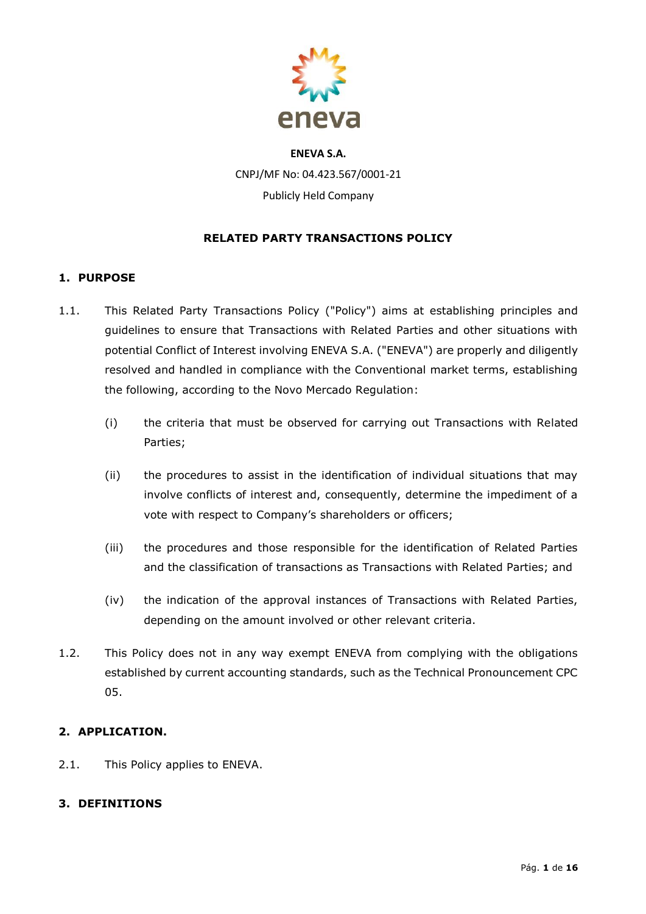

# **ENEVA S.A.** CNPJ/MF No: 04.423.567/0001-21 Publicly Held Company

## **RELATED PARTY TRANSACTIONS POLICY**

## **1. PURPOSE**

- 1.1. This Related Party Transactions Policy ("Policy") aims at establishing principles and guidelines to ensure that Transactions with Related Parties and other situations with potential Conflict of Interest involving ENEVA S.A. ("ENEVA") are properly and diligently resolved and handled in compliance with the Conventional market terms, establishing the following, according to the Novo Mercado Regulation:
	- (i) the criteria that must be observed for carrying out Transactions with Related Parties;
	- (ii) the procedures to assist in the identification of individual situations that may involve conflicts of interest and, consequently, determine the impediment of a vote with respect to Company's shareholders or officers;
	- (iii) the procedures and those responsible for the identification of Related Parties and the classification of transactions as Transactions with Related Parties; and
	- (iv) the indication of the approval instances of Transactions with Related Parties, depending on the amount involved or other relevant criteria.
- 1.2. This Policy does not in any way exempt ENEVA from complying with the obligations established by current accounting standards, such as the Technical Pronouncement CPC 05.

## **2. APPLICATION.**

2.1. This Policy applies to ENEVA.

## **3. DEFINITIONS**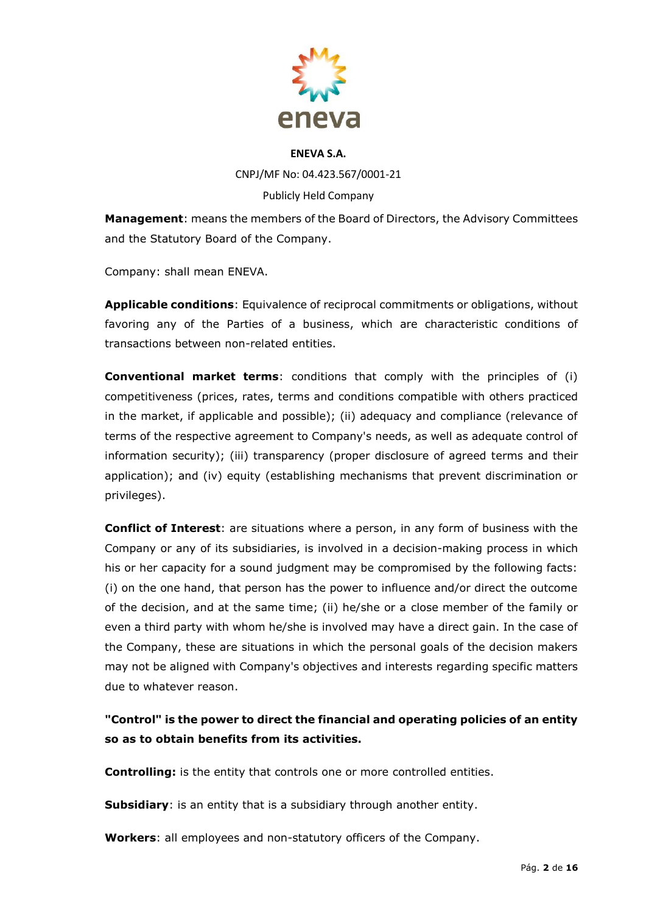

CNPJ/MF No: 04.423.567/0001-21 Publicly Held Company

**Management**: means the members of the Board of Directors, the Advisory Committees and the Statutory Board of the Company.

Company: shall mean ENEVA.

**Applicable conditions**: Equivalence of reciprocal commitments or obligations, without favoring any of the Parties of a business, which are characteristic conditions of transactions between non-related entities.

**Conventional market terms**: conditions that comply with the principles of (i) competitiveness (prices, rates, terms and conditions compatible with others practiced in the market, if applicable and possible); (ii) adequacy and compliance (relevance of terms of the respective agreement to Company's needs, as well as adequate control of information security); (iii) transparency (proper disclosure of agreed terms and their application); and (iv) equity (establishing mechanisms that prevent discrimination or privileges).

**Conflict of Interest**: are situations where a person, in any form of business with the Company or any of its subsidiaries, is involved in a decision-making process in which his or her capacity for a sound judgment may be compromised by the following facts: (i) on the one hand, that person has the power to influence and/or direct the outcome of the decision, and at the same time; (ii) he/she or a close member of the family or even a third party with whom he/she is involved may have a direct gain. In the case of the Company, these are situations in which the personal goals of the decision makers may not be aligned with Company's objectives and interests regarding specific matters due to whatever reason.

**"Control" is the power to direct the financial and operating policies of an entity so as to obtain benefits from its activities.**

**Controlling:** is the entity that controls one or more controlled entities.

**Subsidiary**: is an entity that is a subsidiary through another entity.

**Workers**: all employees and non-statutory officers of the Company.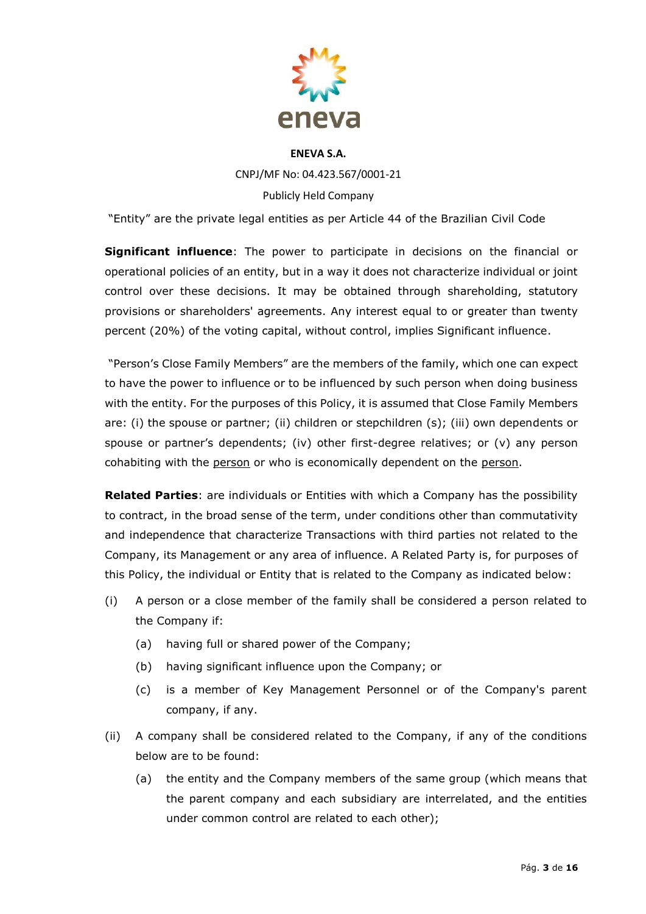

# **ENEVA S.A.** CNPJ/MF No: 04.423.567/0001-21 Publicly Held Company

"Entity" are the private legal entities as per Article 44 of the Brazilian Civil Code

**Significant influence**: The power to participate in decisions on the financial or operational policies of an entity, but in a way it does not characterize individual or joint control over these decisions. It may be obtained through shareholding, statutory provisions or shareholders' agreements. Any interest equal to or greater than twenty percent (20%) of the voting capital, without control, implies Significant influence.

"Person's Close Family Members" are the members of the family, which one can expect to have the power to influence or to be influenced by such person when doing business with the entity. For the purposes of this Policy, it is assumed that Close Family Members are: (i) the spouse or partner; (ii) children or stepchildren (s); (iii) own dependents or spouse or partner's dependents; (iv) other first-degree relatives; or (v) any person cohabiting with the person or who is economically dependent on the person.

**Related Parties**: are individuals or Entities with which a Company has the possibility to contract, in the broad sense of the term, under conditions other than commutativity and independence that characterize Transactions with third parties not related to the Company, its Management or any area of influence. A Related Party is, for purposes of this Policy, the individual or Entity that is related to the Company as indicated below:

- (i) A person or a close member of the family shall be considered a person related to the Company if:
	- (a) having full or shared power of the Company;
	- (b) having significant influence upon the Company; or
	- (c) is a member of Key Management Personnel or of the Company's parent company, if any.
- (ii) A company shall be considered related to the Company, if any of the conditions below are to be found:
	- (a) the entity and the Company members of the same group (which means that the parent company and each subsidiary are interrelated, and the entities under common control are related to each other);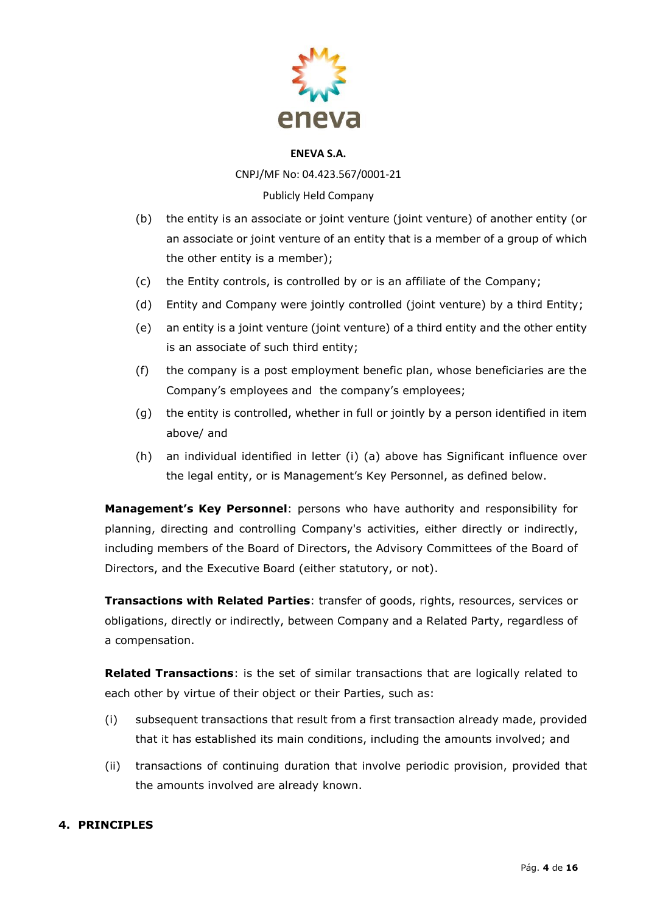

CNPJ/MF No: 04.423.567/0001-21

## Publicly Held Company

- (b) the entity is an associate or joint venture (joint venture) of another entity (or an associate or joint venture of an entity that is a member of a group of which the other entity is a member);
- (c) the Entity controls, is controlled by or is an affiliate of the Company;
- (d) Entity and Company were jointly controlled (joint venture) by a third Entity;
- (e) an entity is a joint venture (joint venture) of a third entity and the other entity is an associate of such third entity;
- (f) the company is a post employment benefic plan, whose beneficiaries are the Company's employees and the company's employees;
- (g) the entity is controlled, whether in full or jointly by a person identified in item above/ and
- (h) an individual identified in letter (i) (a) above has Significant influence over the legal entity, or is Management's Key Personnel, as defined below.

**Management's Key Personnel**: persons who have authority and responsibility for planning, directing and controlling Company's activities, either directly or indirectly, including members of the Board of Directors, the Advisory Committees of the Board of Directors, and the Executive Board (either statutory, or not).

**Transactions with Related Parties**: transfer of goods, rights, resources, services or obligations, directly or indirectly, between Company and a Related Party, regardless of a compensation.

**Related Transactions**: is the set of similar transactions that are logically related to each other by virtue of their object or their Parties, such as:

- (i) subsequent transactions that result from a first transaction already made, provided that it has established its main conditions, including the amounts involved; and
- (ii) transactions of continuing duration that involve periodic provision, provided that the amounts involved are already known.

## **4. PRINCIPLES**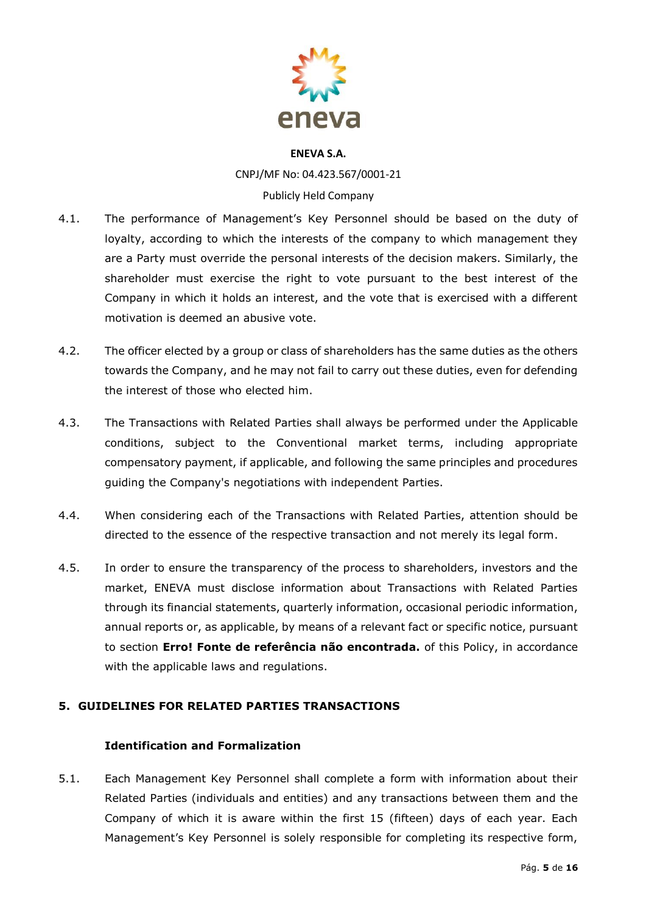

CNPJ/MF No: 04.423.567/0001-21 Publicly Held Company

- 4.1. The performance of Management's Key Personnel should be based on the duty of loyalty, according to which the interests of the company to which management they are a Party must override the personal interests of the decision makers. Similarly, the shareholder must exercise the right to vote pursuant to the best interest of the Company in which it holds an interest, and the vote that is exercised with a different motivation is deemed an abusive vote.
- 4.2. The officer elected by a group or class of shareholders has the same duties as the others towards the Company, and he may not fail to carry out these duties, even for defending the interest of those who elected him.
- 4.3. The Transactions with Related Parties shall always be performed under the Applicable conditions, subject to the Conventional market terms, including appropriate compensatory payment, if applicable, and following the same principles and procedures guiding the Company's negotiations with independent Parties.
- 4.4. When considering each of the Transactions with Related Parties, attention should be directed to the essence of the respective transaction and not merely its legal form.
- 4.5. In order to ensure the transparency of the process to shareholders, investors and the market, ENEVA must disclose information about Transactions with Related Parties through its financial statements, quarterly information, occasional periodic information, annual reports or, as applicable, by means of a relevant fact or specific notice, pursuant to section **Erro! Fonte de referência não encontrada.** of this Policy, in accordance with the applicable laws and regulations.

## **5. GUIDELINES FOR RELATED PARTIES TRANSACTIONS**

## **Identification and Formalization**

5.1. Each Management Key Personnel shall complete a form with information about their Related Parties (individuals and entities) and any transactions between them and the Company of which it is aware within the first 15 (fifteen) days of each year. Each Management's Key Personnel is solely responsible for completing its respective form,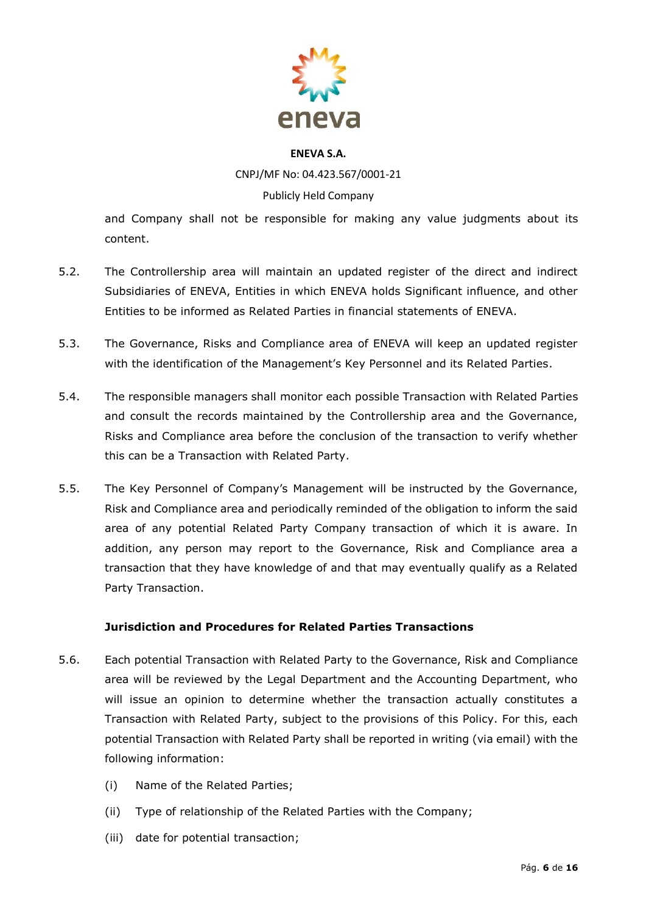

CNPJ/MF No: 04.423.567/0001-21

## Publicly Held Company

and Company shall not be responsible for making any value judgments about its content.

- 5.2. The Controllership area will maintain an updated register of the direct and indirect Subsidiaries of ENEVA, Entities in which ENEVA holds Significant influence, and other Entities to be informed as Related Parties in financial statements of ENEVA.
- 5.3. The Governance, Risks and Compliance area of ENEVA will keep an updated register with the identification of the Management's Key Personnel and its Related Parties.
- 5.4. The responsible managers shall monitor each possible Transaction with Related Parties and consult the records maintained by the Controllership area and the Governance, Risks and Compliance area before the conclusion of the transaction to verify whether this can be a Transaction with Related Party.
- 5.5. The Key Personnel of Company's Management will be instructed by the Governance, Risk and Compliance area and periodically reminded of the obligation to inform the said area of any potential Related Party Company transaction of which it is aware. In addition, any person may report to the Governance, Risk and Compliance area a transaction that they have knowledge of and that may eventually qualify as a Related Party Transaction.

## **Jurisdiction and Procedures for Related Parties Transactions**

- 5.6. Each potential Transaction with Related Party to the Governance, Risk and Compliance area will be reviewed by the Legal Department and the Accounting Department, who will issue an opinion to determine whether the transaction actually constitutes a Transaction with Related Party, subject to the provisions of this Policy. For this, each potential Transaction with Related Party shall be reported in writing (via email) with the following information:
	- (i) Name of the Related Parties;
	- (ii) Type of relationship of the Related Parties with the Company;
	- (iii) date for potential transaction;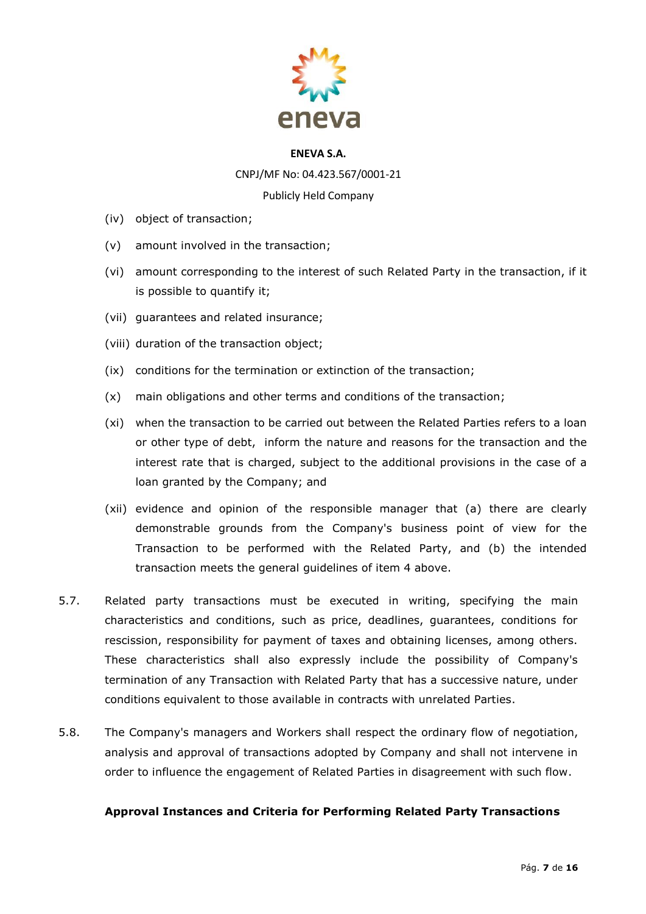

CNPJ/MF No: 04.423.567/0001-21

Publicly Held Company

- (iv) object of transaction;
- (v) amount involved in the transaction;
- (vi) amount corresponding to the interest of such Related Party in the transaction, if it is possible to quantify it;
- (vii) guarantees and related insurance;
- (viii) duration of the transaction object;
- (ix) conditions for the termination or extinction of the transaction;
- (x) main obligations and other terms and conditions of the transaction;
- (xi) when the transaction to be carried out between the Related Parties refers to a loan or other type of debt, inform the nature and reasons for the transaction and the interest rate that is charged, subject to the additional provisions in the case of a loan granted by the Company; and
- (xii) evidence and opinion of the responsible manager that (a) there are clearly demonstrable grounds from the Company's business point of view for the Transaction to be performed with the Related Party, and (b) the intended transaction meets the general guidelines of item 4 above.
- 5.7. Related party transactions must be executed in writing, specifying the main characteristics and conditions, such as price, deadlines, guarantees, conditions for rescission, responsibility for payment of taxes and obtaining licenses, among others. These characteristics shall also expressly include the possibility of Company's termination of any Transaction with Related Party that has a successive nature, under conditions equivalent to those available in contracts with unrelated Parties.
- 5.8. The Company's managers and Workers shall respect the ordinary flow of negotiation, analysis and approval of transactions adopted by Company and shall not intervene in order to influence the engagement of Related Parties in disagreement with such flow.

## **Approval Instances and Criteria for Performing Related Party Transactions**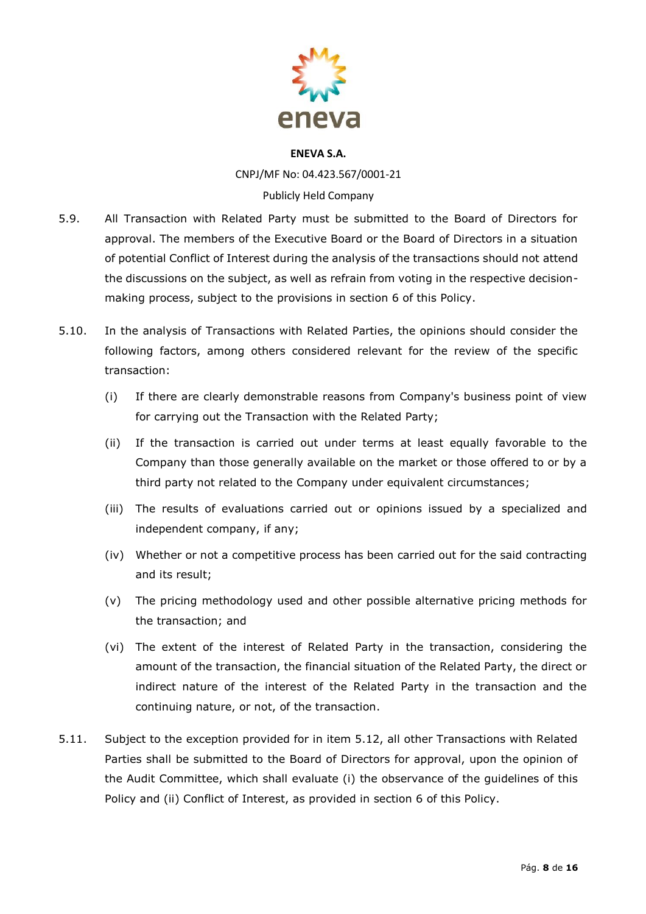

CNPJ/MF No: 04.423.567/0001-21 Publicly Held Company

- 5.9. All Transaction with Related Party must be submitted to the Board of Directors for approval. The members of the Executive Board or the Board of Directors in a situation of potential Conflict of Interest during the analysis of the transactions should not attend the discussions on the subject, as well as refrain from voting in the respective decisionmaking process, subject to the provisions in section 6 of this Policy.
- 5.10. In the analysis of Transactions with Related Parties, the opinions should consider the following factors, among others considered relevant for the review of the specific transaction:
	- (i) If there are clearly demonstrable reasons from Company's business point of view for carrying out the Transaction with the Related Party;
	- (ii) If the transaction is carried out under terms at least equally favorable to the Company than those generally available on the market or those offered to or by a third party not related to the Company under equivalent circumstances;
	- (iii) The results of evaluations carried out or opinions issued by a specialized and independent company, if any;
	- (iv) Whether or not a competitive process has been carried out for the said contracting and its result;
	- (v) The pricing methodology used and other possible alternative pricing methods for the transaction; and
	- (vi) The extent of the interest of Related Party in the transaction, considering the amount of the transaction, the financial situation of the Related Party, the direct or indirect nature of the interest of the Related Party in the transaction and the continuing nature, or not, of the transaction.
- 5.11. Subject to the exception provided for in item 5.12, all other Transactions with Related Parties shall be submitted to the Board of Directors for approval, upon the opinion of the Audit Committee, which shall evaluate (i) the observance of the guidelines of this Policy and (ii) Conflict of Interest, as provided in section 6 of this Policy.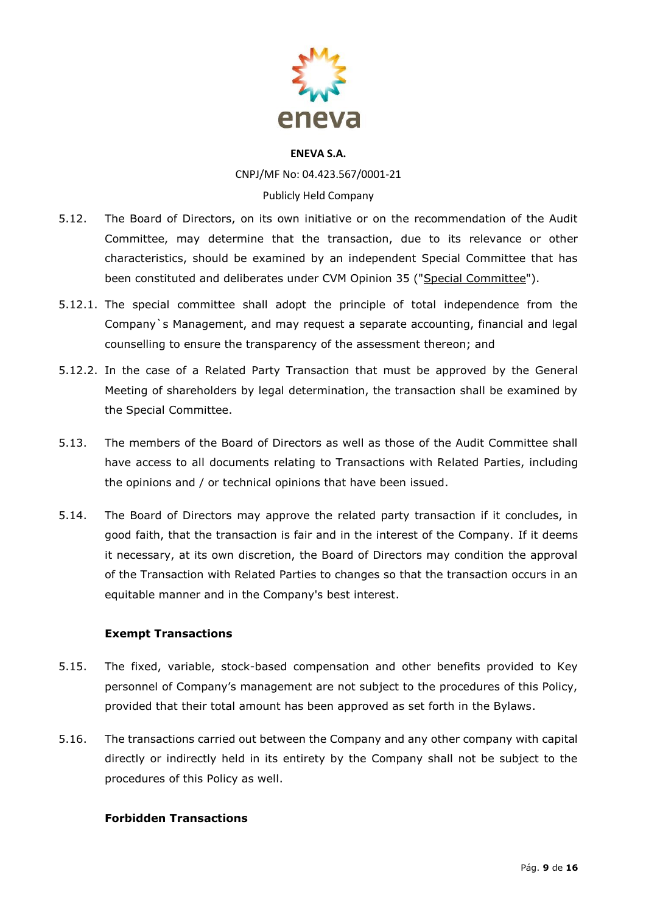

CNPJ/MF No: 04.423.567/0001-21 Publicly Held Company

- 5.12. The Board of Directors, on its own initiative or on the recommendation of the Audit Committee, may determine that the transaction, due to its relevance or other characteristics, should be examined by an independent Special Committee that has been constituted and deliberates under CVM Opinion 35 ("Special Committee").
- 5.12.1. The special committee shall adopt the principle of total independence from the Company`s Management, and may request a separate accounting, financial and legal counselling to ensure the transparency of the assessment thereon; and
- 5.12.2. In the case of a Related Party Transaction that must be approved by the General Meeting of shareholders by legal determination, the transaction shall be examined by the Special Committee.
- 5.13. The members of the Board of Directors as well as those of the Audit Committee shall have access to all documents relating to Transactions with Related Parties, including the opinions and / or technical opinions that have been issued.
- 5.14. The Board of Directors may approve the related party transaction if it concludes, in good faith, that the transaction is fair and in the interest of the Company. If it deems it necessary, at its own discretion, the Board of Directors may condition the approval of the Transaction with Related Parties to changes so that the transaction occurs in an equitable manner and in the Company's best interest.

## **Exempt Transactions**

- 5.15. The fixed, variable, stock-based compensation and other benefits provided to Key personnel of Company's management are not subject to the procedures of this Policy, provided that their total amount has been approved as set forth in the Bylaws.
- 5.16. The transactions carried out between the Company and any other company with capital directly or indirectly held in its entirety by the Company shall not be subject to the procedures of this Policy as well.

## **Forbidden Transactions**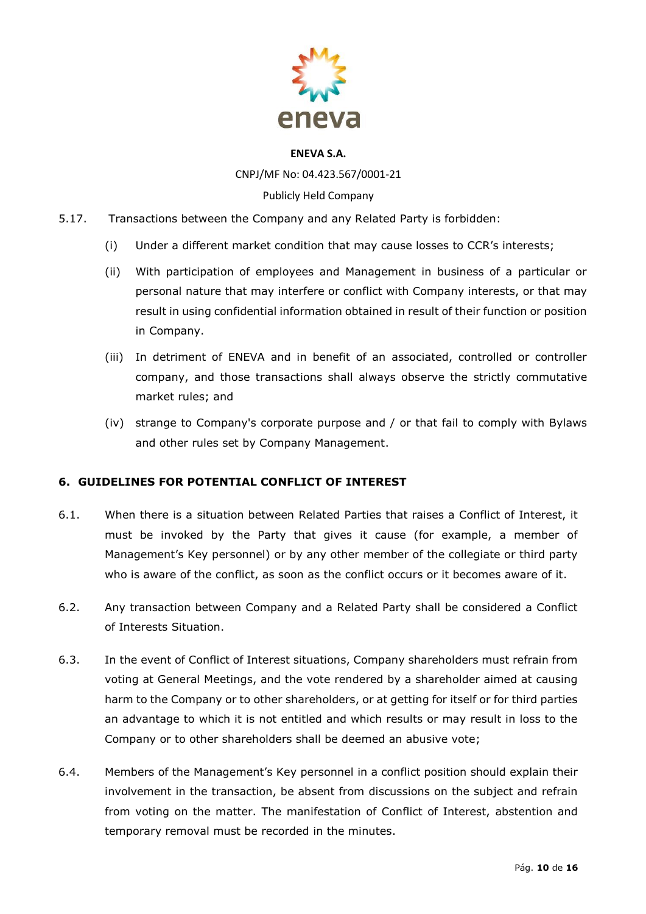

CNPJ/MF No: 04.423.567/0001-21

## Publicly Held Company

- 5.17. Transactions between the Company and any Related Party is forbidden:
	- (i) Under a different market condition that may cause losses to CCR's interests;
	- (ii) With participation of employees and Management in business of a particular or personal nature that may interfere or conflict with Company interests, or that may result in using confidential information obtained in result of their function or position in Company.
	- (iii) In detriment of ENEVA and in benefit of an associated, controlled or controller company, and those transactions shall always observe the strictly commutative market rules; and
	- (iv) strange to Company's corporate purpose and / or that fail to comply with Bylaws and other rules set by Company Management.

## **6. GUIDELINES FOR POTENTIAL CONFLICT OF INTEREST**

- 6.1. When there is a situation between Related Parties that raises a Conflict of Interest, it must be invoked by the Party that gives it cause (for example, a member of Management's Key personnel) or by any other member of the collegiate or third party who is aware of the conflict, as soon as the conflict occurs or it becomes aware of it.
- 6.2. Any transaction between Company and a Related Party shall be considered a Conflict of Interests Situation.
- 6.3. In the event of Conflict of Interest situations, Company shareholders must refrain from voting at General Meetings, and the vote rendered by a shareholder aimed at causing harm to the Company or to other shareholders, or at getting for itself or for third parties an advantage to which it is not entitled and which results or may result in loss to the Company or to other shareholders shall be deemed an abusive vote;
- 6.4. Members of the Management's Key personnel in a conflict position should explain their involvement in the transaction, be absent from discussions on the subject and refrain from voting on the matter. The manifestation of Conflict of Interest, abstention and temporary removal must be recorded in the minutes.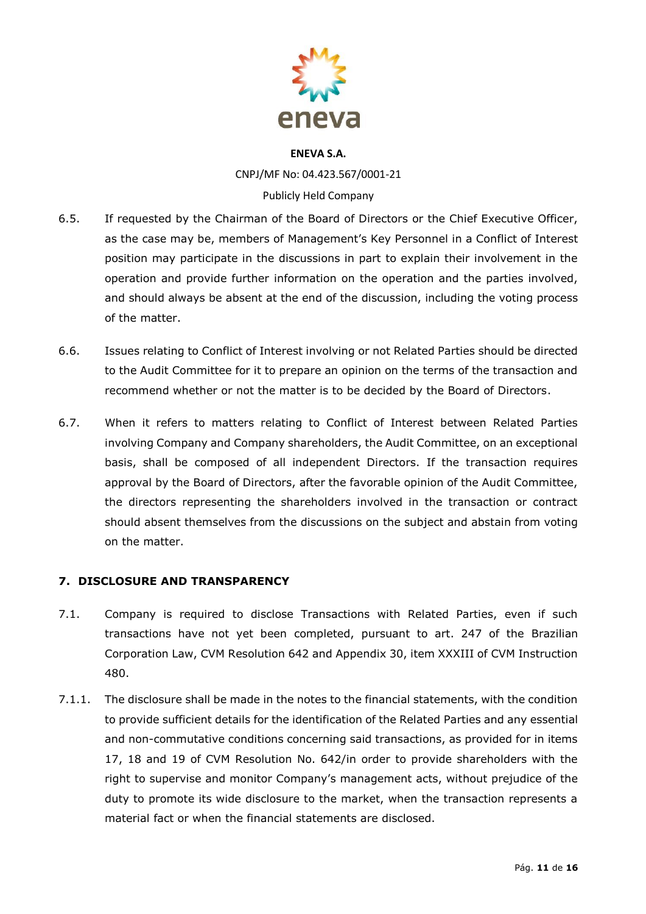

CNPJ/MF No: 04.423.567/0001-21 Publicly Held Company

- 6.5. If requested by the Chairman of the Board of Directors or the Chief Executive Officer, as the case may be, members of Management's Key Personnel in a Conflict of Interest position may participate in the discussions in part to explain their involvement in the operation and provide further information on the operation and the parties involved, and should always be absent at the end of the discussion, including the voting process of the matter.
- 6.6. Issues relating to Conflict of Interest involving or not Related Parties should be directed to the Audit Committee for it to prepare an opinion on the terms of the transaction and recommend whether or not the matter is to be decided by the Board of Directors.
- 6.7. When it refers to matters relating to Conflict of Interest between Related Parties involving Company and Company shareholders, the Audit Committee, on an exceptional basis, shall be composed of all independent Directors. If the transaction requires approval by the Board of Directors, after the favorable opinion of the Audit Committee, the directors representing the shareholders involved in the transaction or contract should absent themselves from the discussions on the subject and abstain from voting on the matter.

## **7. DISCLOSURE AND TRANSPARENCY**

- 7.1. Company is required to disclose Transactions with Related Parties, even if such transactions have not yet been completed, pursuant to art. 247 of the Brazilian Corporation Law, CVM Resolution 642 and Appendix 30, item XXXIII of CVM Instruction 480.
- 7.1.1. The disclosure shall be made in the notes to the financial statements, with the condition to provide sufficient details for the identification of the Related Parties and any essential and non-commutative conditions concerning said transactions, as provided for in items 17, 18 and 19 of CVM Resolution No. 642/in order to provide shareholders with the right to supervise and monitor Company's management acts, without prejudice of the duty to promote its wide disclosure to the market, when the transaction represents a material fact or when the financial statements are disclosed.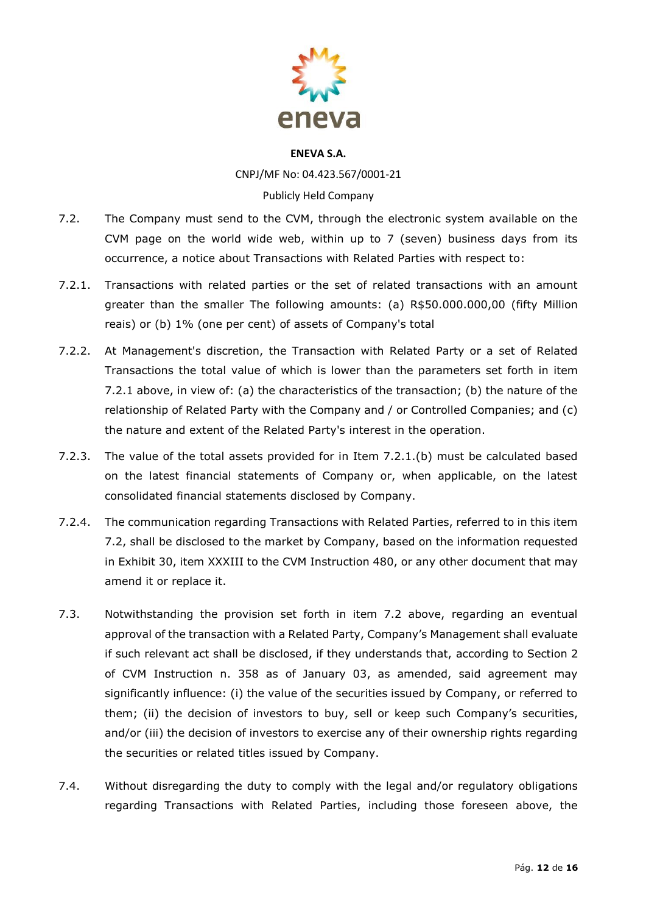

CNPJ/MF No: 04.423.567/0001-21 Publicly Held Company

- 7.2. The Company must send to the CVM, through the electronic system available on the CVM page on the world wide web, within up to 7 (seven) business days from its occurrence, a notice about Transactions with Related Parties with respect to:
- 7.2.1. Transactions with related parties or the set of related transactions with an amount greater than the smaller The following amounts: (a) R\$50.000.000,00 (fifty Million reais) or (b) 1% (one per cent) of assets of Company's total
- 7.2.2. At Management's discretion, the Transaction with Related Party or a set of Related Transactions the total value of which is lower than the parameters set forth in item 7.2.1 above, in view of: (a) the characteristics of the transaction; (b) the nature of the relationship of Related Party with the Company and / or Controlled Companies; and (c) the nature and extent of the Related Party's interest in the operation.
- 7.2.3. The value of the total assets provided for in Item 7.2.1.(b) must be calculated based on the latest financial statements of Company or, when applicable, on the latest consolidated financial statements disclosed by Company.
- 7.2.4. The communication regarding Transactions with Related Parties, referred to in this item 7.2, shall be disclosed to the market by Company, based on the information requested in Exhibit 30, item XXXIII to the CVM Instruction 480, or any other document that may amend it or replace it.
- 7.3. Notwithstanding the provision set forth in item 7.2 above, regarding an eventual approval of the transaction with a Related Party, Company's Management shall evaluate if such relevant act shall be disclosed, if they understands that, according to Section 2 of CVM Instruction n. 358 as of January 03, as amended, said agreement may significantly influence: (i) the value of the securities issued by Company, or referred to them; (ii) the decision of investors to buy, sell or keep such Company's securities, and/or (iii) the decision of investors to exercise any of their ownership rights regarding the securities or related titles issued by Company.
- 7.4. Without disregarding the duty to comply with the legal and/or regulatory obligations regarding Transactions with Related Parties, including those foreseen above, the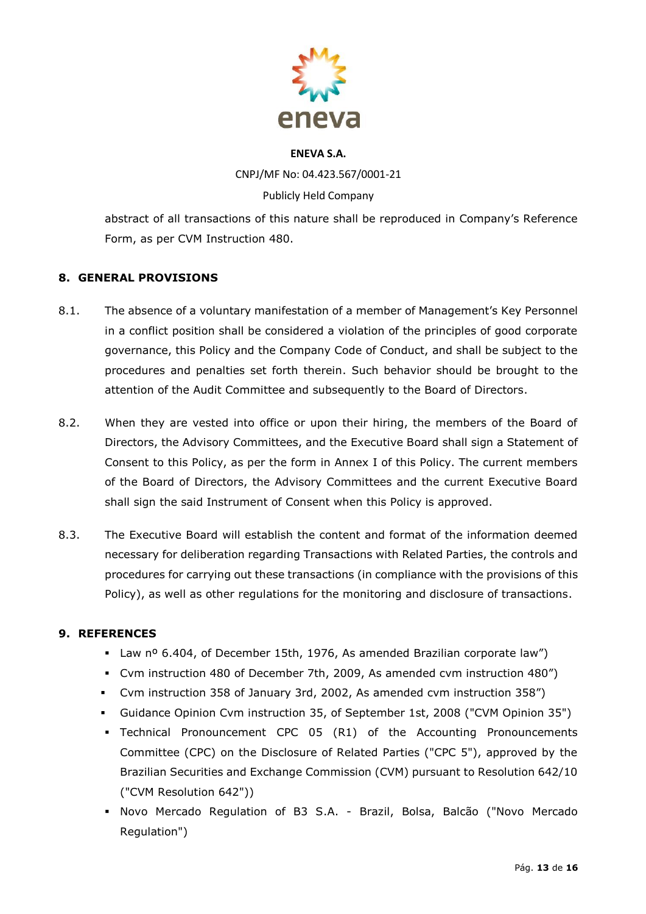

CNPJ/MF No: 04.423.567/0001-21 Publicly Held Company

abstract of all transactions of this nature shall be reproduced in Company's Reference Form, as per CVM Instruction 480.

## **8. GENERAL PROVISIONS**

- 8.1. The absence of a voluntary manifestation of a member of Management's Key Personnel in a conflict position shall be considered a violation of the principles of good corporate governance, this Policy and the Company Code of Conduct, and shall be subject to the procedures and penalties set forth therein. Such behavior should be brought to the attention of the Audit Committee and subsequently to the Board of Directors.
- 8.2. When they are vested into office or upon their hiring, the members of the Board of Directors, the Advisory Committees, and the Executive Board shall sign a Statement of Consent to this Policy, as per the form in Annex I of this Policy. The current members of the Board of Directors, the Advisory Committees and the current Executive Board shall sign the said Instrument of Consent when this Policy is approved.
- 8.3. The Executive Board will establish the content and format of the information deemed necessary for deliberation regarding Transactions with Related Parties, the controls and procedures for carrying out these transactions (in compliance with the provisions of this Policy), as well as other regulations for the monitoring and disclosure of transactions.

## **9. REFERENCES**

- Law nº 6.404, of December 15th, 1976, As amended Brazilian corporate law")
- Cvm instruction 480 of December 7th, 2009, As amended cvm instruction 480")
- Cvm instruction 358 of January 3rd, 2002, As amended cvm instruction 358")
- Guidance Opinion Cvm instruction 35, of September 1st, 2008 ("CVM Opinion 35")
- Technical Pronouncement CPC 05 (R1) of the Accounting Pronouncements Committee (CPC) on the Disclosure of Related Parties ("CPC 5"), approved by the Brazilian Securities and Exchange Commission (CVM) pursuant to Resolution 642/10 ("CVM Resolution 642"))
- Novo Mercado Regulation of B3 S.A. Brazil, Bolsa, Balcão ("Novo Mercado Regulation")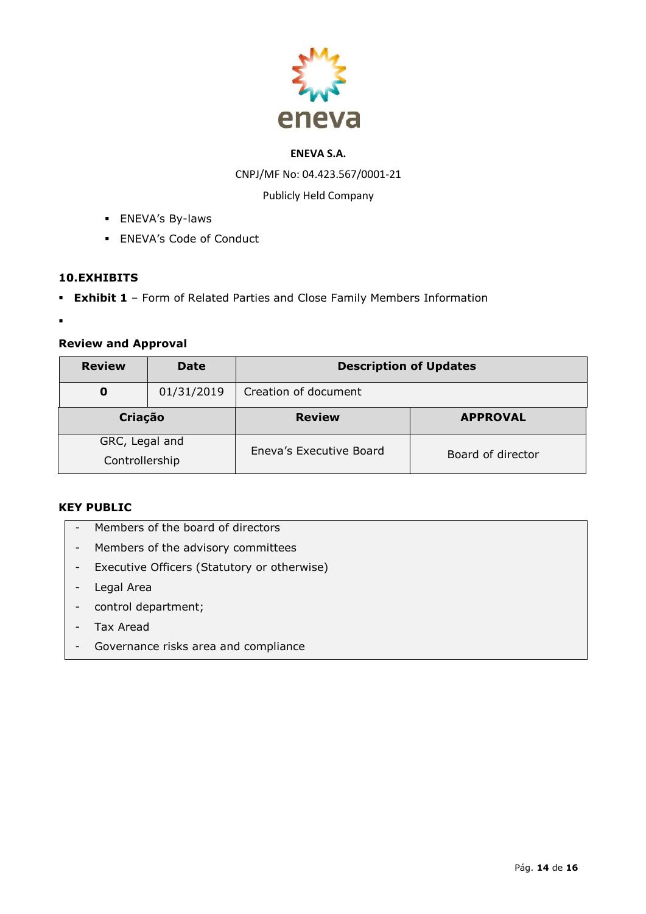

CNPJ/MF No: 04.423.567/0001-21

Publicly Held Company

- **ENEVA's By-laws**
- **ENEVA's Code of Conduct**

## **10.EXHIBITS**

- **Exhibit 1**  Form of Related Parties and Close Family Members Information
- ▪

## **Review and Approval**

| <b>Review</b>                    | <b>Date</b> | <b>Description of Updates</b> |                   |  |
|----------------------------------|-------------|-------------------------------|-------------------|--|
| 0                                | 01/31/2019  | Creation of document          |                   |  |
| Criação                          |             | <b>Review</b>                 | <b>APPROVAL</b>   |  |
| GRC, Legal and<br>Controllership |             | Eneva's Executive Board       | Board of director |  |

## **KEY PUBLIC**

- Members of the board of directors
- Members of the advisory committees
- Executive Officers (Statutory or otherwise)
- Legal Area
- control department;
- Tax Aread
- Governance risks area and compliance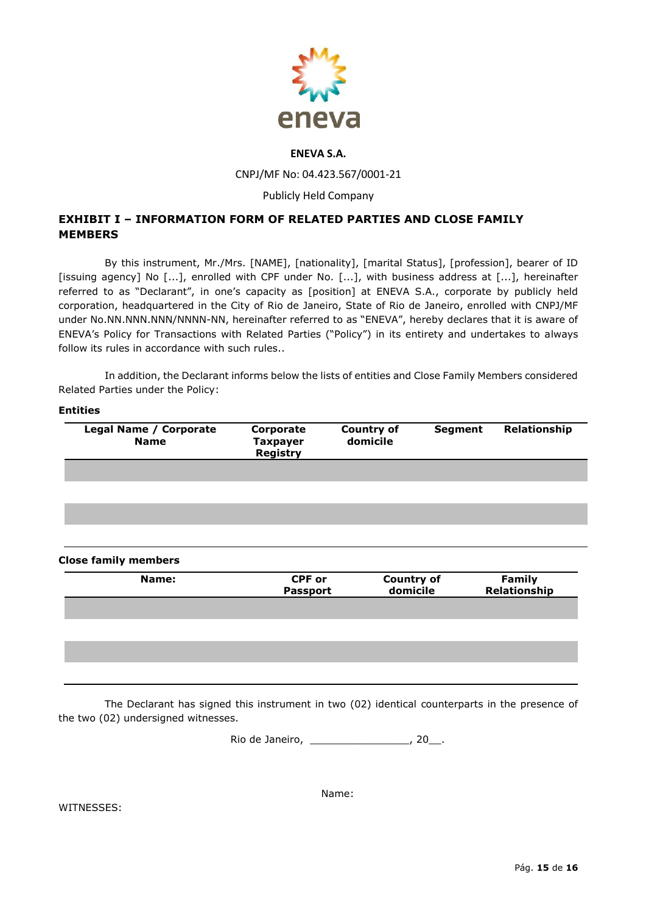

CNPJ/MF No: 04.423.567/0001-21

#### Publicly Held Company

## **EXHIBIT I – INFORMATION FORM OF RELATED PARTIES AND CLOSE FAMILY MEMBERS**

By this instrument, Mr./Mrs. [NAME], [nationality], [marital Status], [profession], bearer of ID [issuing agency] No [...], enrolled with CPF under No. [...], with business address at [...], hereinafter referred to as "Declarant", in one's capacity as [position] at ENEVA S.A., corporate by publicly held corporation, headquartered in the City of Rio de Janeiro, State of Rio de Janeiro, enrolled with CNPJ/MF under No.NN.NNN.NNN/NNNN-NN, hereinafter referred to as "ENEVA", hereby declares that it is aware of ENEVA's Policy for Transactions with Related Parties ("Policy") in its entirety and undertakes to always follow its rules in accordance with such rules..

In addition, the Declarant informs below the lists of entities and Close Family Members considered Related Parties under the Policy:

| Corporate                          |                               |                |                               |
|------------------------------------|-------------------------------|----------------|-------------------------------|
| <b>Taxpayer</b><br><b>Registry</b> | <b>Country of</b><br>domicile | <b>Segment</b> | Relationship                  |
|                                    |                               |                |                               |
|                                    |                               |                |                               |
|                                    |                               |                |                               |
|                                    |                               |                |                               |
|                                    |                               |                |                               |
| <b>CPF or</b><br><b>Passport</b>   |                               |                | <b>Family</b><br>Relationship |
|                                    |                               |                |                               |
|                                    |                               |                |                               |
|                                    |                               |                |                               |
|                                    |                               |                |                               |
|                                    |                               |                | <b>Country of</b><br>domicile |

The Declarant has signed this instrument in two (02) identical counterparts in the presence of the two (02) undersigned witnesses.

Rio de Janeiro, \_\_\_\_\_\_\_\_\_\_\_\_\_\_\_\_, 20\_\_.

WITNESSES:

Name: